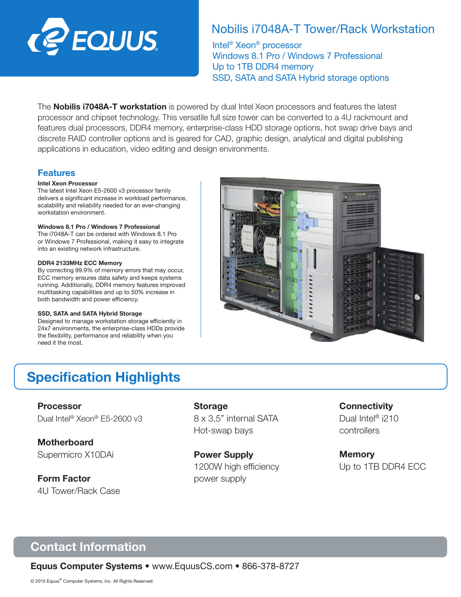

## Nobilis i7048A-T Tower/Rack Workstation

Intel® Xeon® processor Windows 8.1 Pro / Windows 7 Professional Up to 1TB DDR4 memory SSD, SATA and SATA Hybrid storage options

The **Nobilis i7048A-T workstation** is powered by dual Intel Xeon processors and features the latest processor and chipset technology. This versatile full size tower can be converted to a 4U rackmount and features dual processors, DDR4 memory, enterprise-class HDD storage options, hot swap drive bays and discrete RAID controller options and is geared for CAD, graphic design, analytical and digital publishing applications in education, video editing and design environments.

## Features

### Intel Xeon Processor

The latest Intel Xeon E5-2600 v3 processor family delivers a significant increase in workload performance, scalability and reliability needed for an ever-changing workstation environment.

### Windows 8.1 Pro / Windows 7 Professional

The i7048A-T can be ordered with Windows 8.1 Pro or Windows 7 Professional, making it easy to integrate into an existing network infrastructure.

### DDR4 2133MHz ECC Memory

By correcting 99.9% of memory errors that may occur, ECC memory ensures data safety and keeps systems running. Additionally, DDR4 memory features improved multitasking capabilities and up to 50% increase in both bandwidth and power efficiency.

#### SSD, SATA and SATA Hybrid Storage

Designed to manage workstation storage efficiently in 24x7 environments, the enterprise-class HDDs provide the flexibility, performance and reliability when you need it the most.



# Specification Highlights

Processor Dual Intel® Xeon® E5-2600 v3

**Motherboard** Supermicro X10DAi

Form Factor 4U Tower/Rack Case

### **Storage**

8 x 3.5" internal SATA Hot-swap bays

Power Supply 1200W high efficiency power supply

## **Connectivity**

Dual Intel<sup>®</sup> i210 controllers

**Memory** Up to 1TB DDR4 ECC

# Contact Information

Equus Computer Systems • www.EquusCS.com • 866-378-8727